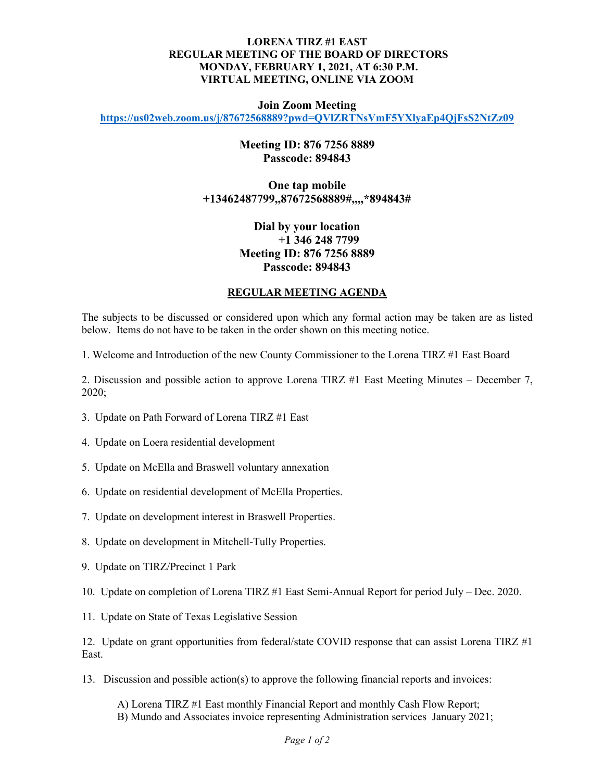### **LORENA TIRZ #1 EAST REGULAR MEETING OF THE BOARD OF DIRECTORS MONDAY, FEBRUARY 1, 2021, AT 6:30 P.M. VIRTUAL MEETING, ONLINE VIA ZOOM**

#### **Join Zoom Meeting**

**<https://us02web.zoom.us/j/87672568889?pwd=QVlZRTNsVmF5YXlyaEp4QjFsS2NtZz09>**

## **Meeting ID: 876 7256 8889 Passcode: 894843**

# **One tap mobile +13462487799,,87672568889#,,,,\*894843#**

# **Dial by your location +1 346 248 7799 Meeting ID: 876 7256 8889 Passcode: 894843**

#### **REGULAR MEETING AGENDA**

The subjects to be discussed or considered upon which any formal action may be taken are as listed below. Items do not have to be taken in the order shown on this meeting notice.

1. Welcome and Introduction of the new County Commissioner to the Lorena TIRZ #1 East Board

2. Discussion and possible action to approve Lorena TIRZ #1 East Meeting Minutes – December 7, 2020;

- 3. Update on Path Forward of Lorena TIRZ #1 East
- 4. Update on Loera residential development
- 5. Update on McElla and Braswell voluntary annexation
- 6. Update on residential development of McElla Properties.
- 7. Update on development interest in Braswell Properties.
- 8. Update on development in Mitchell-Tully Properties.
- 9. Update on TIRZ/Precinct 1 Park
- 10. Update on completion of Lorena TIRZ #1 East Semi-Annual Report for period July Dec. 2020.
- 11. Update on State of Texas Legislative Session

12. Update on grant opportunities from federal/state COVID response that can assist Lorena TIRZ #1 East.

13. Discussion and possible action(s) to approve the following financial reports and invoices:

A) Lorena TIRZ #1 East monthly Financial Report and monthly Cash Flow Report; B) Mundo and Associates invoice representing Administration services January 2021;